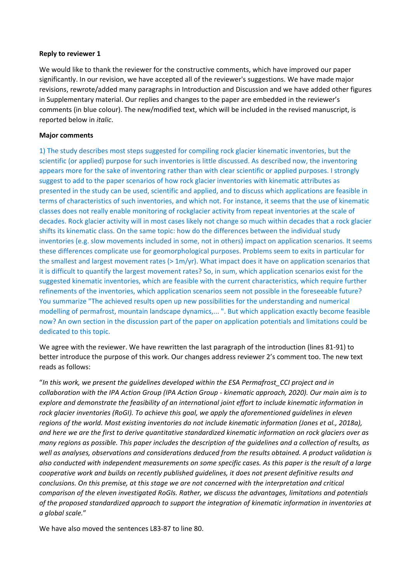## **Reply to reviewer 1**

We would like to thank the reviewer for the constructive comments, which have improved our paper significantly. In our revision, we have accepted all of the reviewer's suggestions. We have made major revisions, rewrote/added many paragraphs in Introduction and Discussion and we have added other figures in Supplementary material. Our replies and changes to the paper are embedded in the reviewer's comments (in blue colour). The new/modified text, which will be included in the revised manuscript, is reported below in *italic*.

## **Major comments**

1) The study describes most steps suggested for compiling rock glacier kinematic inventories, but the scientific (or applied) purpose for such inventories is little discussed. As described now, the inventoring appears more for the sake of inventoring rather than with clear scientific or applied purposes. I strongly suggest to add to the paper scenarios of how rock glacier inventories with kinematic attributes as presented in the study can be used, scientific and applied, and to discuss which applications are feasible in terms of characteristics of such inventories, and which not. For instance, it seems that the use of kinematic classes does not really enable monitoring of rockglacier activity from repeat inventories at the scale of decades. Rock glacier activity will in most cases likely not change so much within decades that a rock glacier shifts its kinematic class. On the same topic: how do the differences between the individual study inventories (e.g. slow movements included in some, not in others) impact on application scenarios. It seems these differences complicate use for geomorphological purposes. Problems seem to exits in particular for the smallest and largest movement rates (> 1m/yr). What impact does it have on application scenarios that it is difficult to quantify the largest movement rates? So, in sum, which application scenarios exist for the suggested kinematic inventories, which are feasible with the current characteristics, which require further refinements of the inventories, which application scenarios seem not possible in the foreseeable future? You summarize "The achieved results open up new possibilities for the understanding and numerical modelling of permafrost, mountain landscape dynamics,... ". But which application exactly become feasible now? An own section in the discussion part of the paper on application potentials and limitations could be dedicated to this topic.

We agree with the reviewer. We have rewritten the last paragraph of the introduction (lines 81-91) to better introduce the purpose of this work. Our changes address reviewer 2's comment too. The new text reads as follows:

"*In this work, we present the guidelines developed within the ESA Permafrost\_CCI project and in collaboration with the IPA Action Group (IPA Action Group - kinematic approach, 2020). Our main aim is to explore and demonstrate the feasibility of an international joint effort to include kinematic information in rock glacier inventories (RoGI). To achieve this goal, we apply the aforementioned guidelines in eleven regions of the world. Most existing inventories do not include kinematic information (Jones et al., 2018a), and here we are the first to derive quantitative standardized kinematic information on rock glaciers over as many regions as possible. This paper includes the description of the guidelines and a collection of results, as well as analyses, observations and considerations deduced from the results obtained. A product validation is also conducted with independent measurements on some specific cases. As this paper is the result of a large cooperative work and builds on recently published guidelines, it does not present definitive results and conclusions. On this premise, at this stage we are not concerned with the interpretation and critical comparison of the eleven investigated RoGIs. Rather, we discuss the advantages, limitations and potentials of the proposed standardized approach to support the integration of kinematic information in inventories at a global scale.*"

We have also moved the sentences L83-87 to line 80.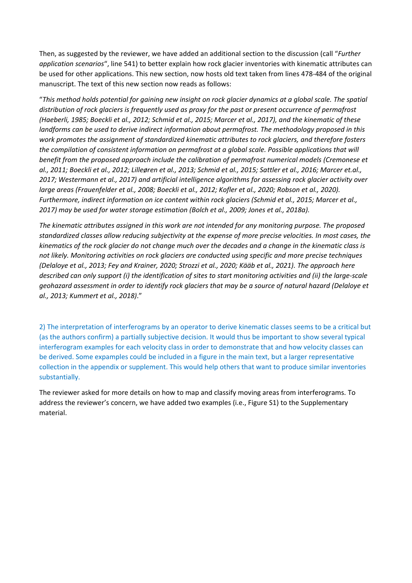Then, as suggested by the reviewer, we have added an additional section to the discussion (call "*Further application scenarios*", line 541) to better explain how rock glacier inventories with kinematic attributes can be used for other applications. This new section, now hosts old text taken from lines 478-484 of the original manuscript. The text of this new section now reads as follows:

"*This method holds potential for gaining new insight on rock glacier dynamics at a global scale. The spatial distribution of rock glaciers is frequently used as proxy for the past or present occurrence of permafrost (Haeberli, 1985; Boeckli et al., 2012; Schmid et al., 2015; Marcer et al., 2017), and the kinematic of these landforms can be used to derive indirect information about permafrost. The methodology proposed in this work promotes the assignment of standardized kinematic attributes to rock glaciers, and therefore fosters the compilation of consistent information on permafrost at a global scale. Possible applications that will benefit from the proposed approach include the calibration of permafrost numerical models (Cremonese et al., 2011; Boeckli et al., 2012; Lilleøren et al., 2013; Schmid et al., 2015; Sattler et al., 2016; Marcer et.al., 2017; Westermann et al., 2017) and artificial intelligence algorithms for assessing rock glacier activity over large areas (Frauenfelder et al., 2008; Boeckli et al., 2012; Kofler et al., 2020; Robson et al., 2020). Furthermore, indirect information on ice content within rock glaciers (Schmid et al., 2015; Marcer et al., 2017) may be used for water storage estimation (Bolch et al., 2009; Jones et al., 2018a).*

*The kinematic attributes assigned in this work are not intended for any monitoring purpose. The proposed standardized classes allow reducing subjectivity at the expense of more precise velocities. In most cases, the kinematics of the rock glacier do not change much over the decades and a change in the kinematic class is not likely. Monitoring activities on rock glaciers are conducted using specific and more precise techniques (Delaloye et al., 2013; Fey and Krainer, 2020; Strozzi et al., 2020; Kääb et al., 2021). The approach here described can only support (i) the identification of sites to start monitoring activities and (ii) the large-scale geohazard assessment in order to identify rock glaciers that may be a source of natural hazard (Delaloye et al., 2013; Kummert et al., 2018)*."

2) The interpretation of interferograms by an operator to derive kinematic classes seems to be a critical but (as the authors confirm) a partially subjective decision. It would thus be important to show several typical interferogram examples for each velocity class in order to demonstrate that and how velocity classes can be derived. Some expamples could be included in a figure in the main text, but a larger representative collection in the appendix or supplement. This would help others that want to produce similar inventories substantially.

The reviewer asked for more details on how to map and classify moving areas from interferograms. To address the reviewer's concern, we have added two examples (i.e., Figure S1) to the Supplementary material.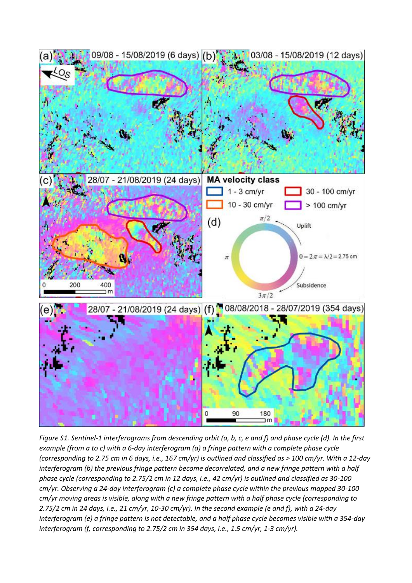

*Figure S1. Sentinel-1 interferograms from descending orbit (a, b, c, e and f) and phase cycle (d). In the first example (from a to c) with a 6-day interferogram (a) a fringe pattern with a complete phase cycle (corresponding to 2.75 cm in 6 days, i.e., 167 cm/yr) is outlined and classified as > 100 cm/yr. With a 12-day interferogram (b) the previous fringe pattern become decorrelated, and a new fringe pattern with a half phase cycle (corresponding to 2.75/2 cm in 12 days, i.e., 42 cm/yr) is outlined and classified as 30-100 cm/yr. Observing a 24-day interferogram (c) a complete phase cycle within the previous mapped 30-100 cm/yr moving areas is visible, along with a new fringe pattern with a half phase cycle (corresponding to 2.75/2 cm in 24 days, i.e., 21 cm/yr, 10-30 cm/yr). In the second example (e and f), with a 24-day interferogram (e) a fringe pattern is not detectable, and a half phase cycle becomes visible with a 354-day interferogram (f, corresponding to 2.75/2 cm in 354 days, i.e., 1.5 cm/yr, 1-3 cm/yr).*